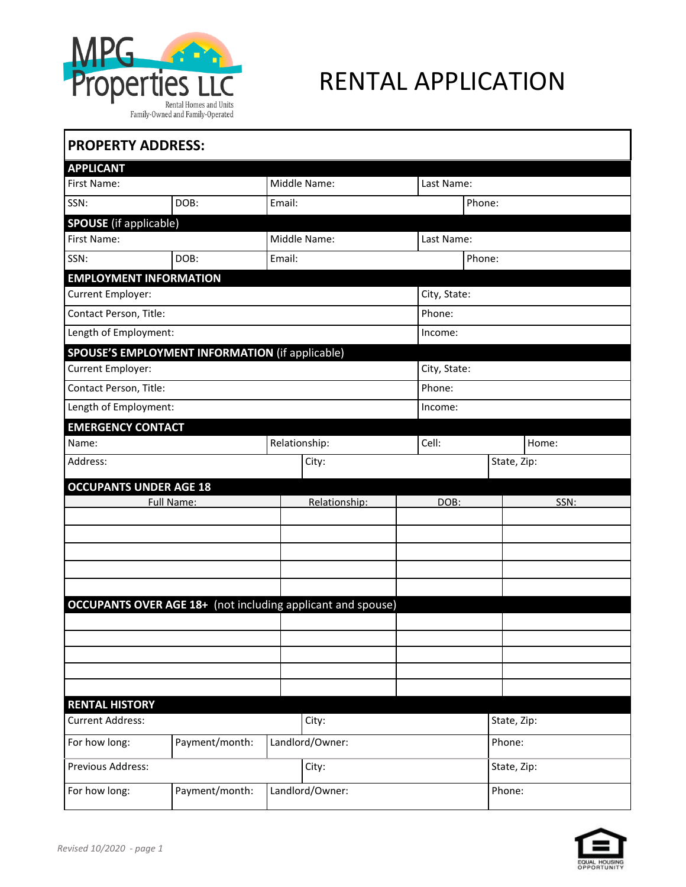

## RENTAL APPLICATION

| <b>PROPERTY ADDRESS:</b>                               |                |  |                                                                    |              |              |  |  |  |
|--------------------------------------------------------|----------------|--|--------------------------------------------------------------------|--------------|--------------|--|--|--|
| <b>APPLICANT</b>                                       |                |  |                                                                    |              |              |  |  |  |
| First Name:                                            |                |  | Middle Name:                                                       |              | Last Name:   |  |  |  |
| SSN:                                                   | DOB:           |  | Email:                                                             |              | Phone:       |  |  |  |
| <b>SPOUSE</b> (if applicable)                          |                |  |                                                                    |              |              |  |  |  |
| Middle Name:<br>First Name:                            |                |  |                                                                    |              | Last Name:   |  |  |  |
| SSN:                                                   | DOB:           |  | Email:                                                             |              | Phone:       |  |  |  |
| <b>EMPLOYMENT INFORMATION</b>                          |                |  |                                                                    |              |              |  |  |  |
| Current Employer:                                      |                |  |                                                                    | City, State: |              |  |  |  |
| Contact Person, Title:                                 |                |  |                                                                    | Phone:       |              |  |  |  |
| Length of Employment:                                  |                |  |                                                                    | Income:      |              |  |  |  |
| <b>SPOUSE'S EMPLOYMENT INFORMATION (if applicable)</b> |                |  |                                                                    |              |              |  |  |  |
| Current Employer:                                      |                |  |                                                                    |              | City, State: |  |  |  |
| Contact Person, Title:                                 |                |  |                                                                    | Phone:       |              |  |  |  |
| Length of Employment:                                  |                |  |                                                                    | Income:      |              |  |  |  |
| <b>EMERGENCY CONTACT</b>                               |                |  |                                                                    |              |              |  |  |  |
| Name:                                                  |                |  | Relationship:                                                      | Cell:        | Home:        |  |  |  |
| Address:                                               |                |  | City:                                                              |              | State, Zip:  |  |  |  |
| <b>OCCUPANTS UNDER AGE 18</b>                          |                |  |                                                                    |              |              |  |  |  |
|                                                        | Full Name:     |  | Relationship:                                                      | DOB:         | SSN:         |  |  |  |
|                                                        |                |  |                                                                    |              |              |  |  |  |
|                                                        |                |  |                                                                    |              |              |  |  |  |
|                                                        |                |  |                                                                    |              |              |  |  |  |
|                                                        |                |  |                                                                    |              |              |  |  |  |
|                                                        |                |  |                                                                    |              |              |  |  |  |
|                                                        |                |  | <b>OCCUPANTS OVER AGE 18+</b> (not including applicant and spouse) |              |              |  |  |  |
|                                                        |                |  |                                                                    |              |              |  |  |  |
|                                                        |                |  |                                                                    |              |              |  |  |  |
|                                                        |                |  |                                                                    |              |              |  |  |  |
|                                                        |                |  |                                                                    |              |              |  |  |  |
| <b>RENTAL HISTORY</b>                                  |                |  |                                                                    |              |              |  |  |  |
| <b>Current Address:</b>                                |                |  | City:                                                              |              | State, Zip:  |  |  |  |
| For how long:                                          | Payment/month: |  | Landlord/Owner:                                                    |              | Phone:       |  |  |  |
| Previous Address:                                      |                |  | City:                                                              |              | State, Zip:  |  |  |  |
| Payment/month:<br>For how long:                        |                |  | Landlord/Owner:                                                    | Phone:       |              |  |  |  |